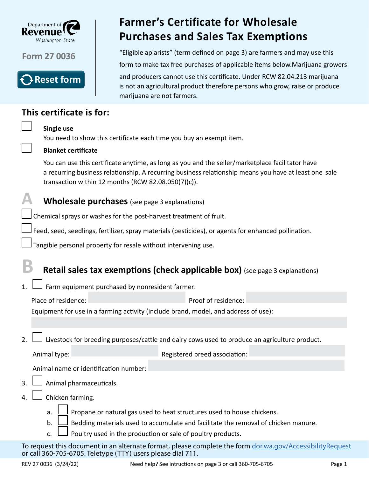

**Form 27 0036**



## **This certificate is for:**

## **Single use**

You need to show this certificate each time you buy an exempt item.

marijuana are not farmers.

## **Blanket certificate**

You can use this certificate anytime, as long as you and the seller/marketplace facilitator have a recurring business relationship. A recurring business relationship means you have at least one sale transaction within 12 months (RCW 82.08.050(7)(c)).

**Farmer's Certificate for Wholesale** 

**Purchases and Sales Tax Exemptions**

"Eligible apiarists" (term defined on page 3) are farmers and may use this

form to make tax free purchases of applicable items below.Marijuana growers

and producers cannot use this certificate. Under RCW 82.04.213 marijuana is not an agricultural product therefore persons who grow, raise or produce



Chemical sprays or washes for the post-harvest treatment of fruit.

Feed, seed, seedlings, fertilizer, spray materials (pesticides), or agents for enhanced pollination.

Tangible personal property for resale without intervening use.

# **B Retail sales tax exemptions (check applicable box)** (see page 3 explanations)

1.  $\Box$  Farm equipment purchased by nonresident farmer.

Place of residence: Proof of residence: Equipment for use in a farming activity (include brand, model, and address of use):

2.  $\Box$  Livestock for breeding purposes/cattle and dairy cows used to produce an agriculture product.

Animal type:  $\blacksquare$ 

Animal name or identification number:

- $3. \Box$  Animal pharmaceuticals.
- 4.  $\Box$  Chicken farming.
	- a.  $\Box$  Propane or natural gas used to heat structures used to house chickens.
	- b. Bedding materials used to accumulate and facilitate the removal of chicken manure.
	- c.  $\Box$  Poultry used in the production or sale of poultry products.

To request this document in an alternate format, please complete the form [dor.wa.gov/AccessibilityRequest](http://dor.wa.gov/AccessibilityRequest) or call 360-705-6705. Teletype (TTY) users please dial 711.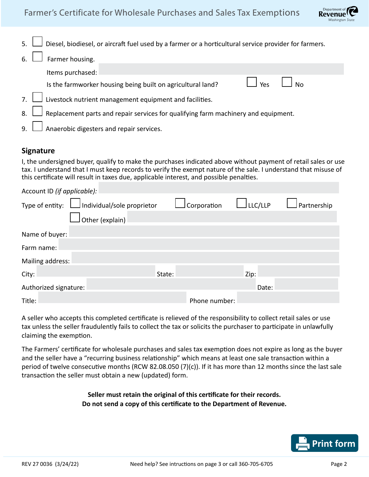

|    | 5. $\Box$ Diesel, biodiesel, or aircraft fuel used by a farmer or a horticultural service provider for farmers. |  |  |  |  |  |  |
|----|-----------------------------------------------------------------------------------------------------------------|--|--|--|--|--|--|
| 6. | Farmer housing.                                                                                                 |  |  |  |  |  |  |
|    | Items purchased:                                                                                                |  |  |  |  |  |  |
|    | Yes<br><b>No</b><br>Is the farmworker housing being built on agricultural land?                                 |  |  |  |  |  |  |
|    | 7. $\Box$ Livestock nutrient management equipment and facilities.                                               |  |  |  |  |  |  |
|    | 8. $\Box$ Replacement parts and repair services for qualifying farm machinery and equipment.                    |  |  |  |  |  |  |
|    | 9. $\Box$ Anaerobic digesters and repair services.                                                              |  |  |  |  |  |  |

## **Signature**

I, the undersigned buyer, qualify to make the purchases indicated above without payment of retail sales or use tax. I understand that I must keep records to verify the exempt nature of the sale. I understand that misuse of this certificate will result in taxes due, applicable interest, and possible penalties.

| Account ID (if applicable): |                                                   |        |               |                |             |  |  |  |  |  |
|-----------------------------|---------------------------------------------------|--------|---------------|----------------|-------------|--|--|--|--|--|
|                             | Type of entity: $\Box$ Individual/sole proprietor |        | Corporation   | $\Box$ LLC/LLP | Partnership |  |  |  |  |  |
|                             | Other (explain)                                   |        |               |                |             |  |  |  |  |  |
| Name of buyer:              |                                                   |        |               |                |             |  |  |  |  |  |
| Farm name:                  |                                                   |        |               |                |             |  |  |  |  |  |
| Mailing address:            |                                                   |        |               |                |             |  |  |  |  |  |
| City:                       |                                                   | State: |               | Zip:           |             |  |  |  |  |  |
| Authorized signature:       |                                                   |        |               | Date:          |             |  |  |  |  |  |
| Title:                      |                                                   |        | Phone number: |                |             |  |  |  |  |  |

A seller who accepts this completed certificate is relieved of the responsibility to collect retail sales or use tax unless the seller fraudulently fails to collect the tax or solicits the purchaser to participate in unlawfully claiming the exemption.

The Farmers' certificate for wholesale purchases and sales tax exemption does not expire as long as the buyer and the seller have a "recurring business relationship" which means at least one sale transaction within a period of twelve consecutive months (RCW 82.08.050 (7)(c)). If it has more than 12 months since the last sale transaction the seller must obtain a new (updated) form.

### **Seller must retain the original of this certificate for their records. Do not send a copy of this certificate to the Department of Revenue.**

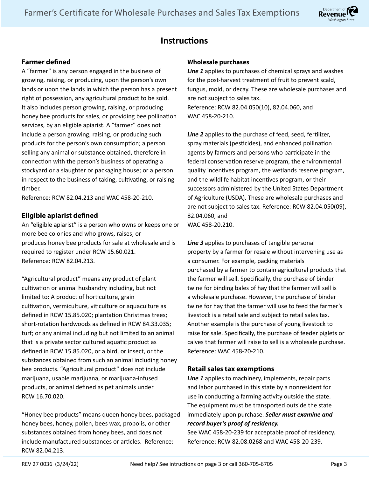

## **Instructions**

### **Farmer defined**

A "farmer" is any person engaged in the business of growing, raising, or producing, upon the person's own lands or upon the lands in which the person has a present right of possession, any agricultural product to be sold. It also includes person growing, raising, or producing honey bee products for sales, or providing bee pollination services, by an eligible apiarist. A "farmer" does not include a person growing, raising, or producing such products for the person's own consumption; a person selling any animal or substance obtained, therefore in connection with the person's business of operating a stockyard or a slaughter or packaging house; or a person in respect to the business of taking, cultivating, or raising timber.

Reference: RCW 82.04.213 and WAC 458-20-210.

### **Eligible apiarist defined**

An "eligible apiarist" is a person who owns or keeps one or more bee colonies and who grows, raises, or produces honey bee products for sale at wholesale and is required to register under RCW 15.60.021. Reference: RCW 82.04.213.

"Agricultural product" means any product of plant cultivation or animal husbandry including, but not limited to: A product of horticulture, grain cultivation, vermiculture, viticulture or aquaculture as defined in RCW 15.85.020; plantation Christmas trees; short-rotation hardwoods as defined in RCW 84.33.035; turf; or any animal including but not limited to an animal that is a private sector cultured aquatic product as defined in RCW 15.85.020, or a bird, or insect, or the substances obtained from such an animal including honey bee products. "Agricultural product" does not include marijuana, usable marijuana, or marijuana-infused products, or animal defined as pet animals under RCW 16.70.020.

"Honey bee products" means queen honey bees, packaged honey bees, honey, pollen, bees wax, propolis, or other substances obtained from honey bees, and does not include manufactured substances or articles. Reference: RCW 82.04.213.

#### **Wholesale purchases**

*Line 1* applies to purchases of chemical sprays and washes for the post-harvest treatment of fruit to prevent scald, fungus, mold, or decay. These are wholesale purchases and are not subject to sales tax. Reference: RCW 82.04.050(10), 82.04.060, and WAC 458-20-210.

*Line 2* applies to the purchase of feed, seed, fertilizer, spray materials (pesticides), and enhanced pollination agents by farmers and persons who participate in the federal conservation reserve program, the environmental quality incentives program, the wetlands reserve program, and the wildlife habitat incentives program, or their successors administered by the United States Department of Agriculture (USDA). These are wholesale purchases and are not subject to sales tax. Reference: RCW 82.04.050(09), 82.04.060, and WAC 458-20.210.

Line 3 applies to purchases of tangible personal property by a farmer for resale without intervening use as a consumer. For example, packing materials purchased by a farmer to contain agricultural products that the farmer will sell. Specifically, the purchase of binder twine for binding bales of hay that the farmer will sell is a wholesale purchase. However, the purchase of binder twine for hay that the farmer will use to feed the farmer's livestock is a retail sale and subject to retail sales tax. Another example is the purchase of young livestock to raise for sale. Specifically, the purchase of feeder piglets or calves that farmer will raise to sell is a wholesale purchase. Reference: WAC 458-20-210.

#### **Retail sales tax exemptions**

*Line 1* applies to machinery, implements, repair parts and labor purchased in this state by a nonresident for use in conducting a farming activity outside the state. The equipment must be transported outside the state immediately upon purchase. *Seller must examine and record buyer's proof of residency.*

See WAC 458-20-239 for acceptable proof of residency. Reference: RCW 82.08.0268 and WAC 458-20-239.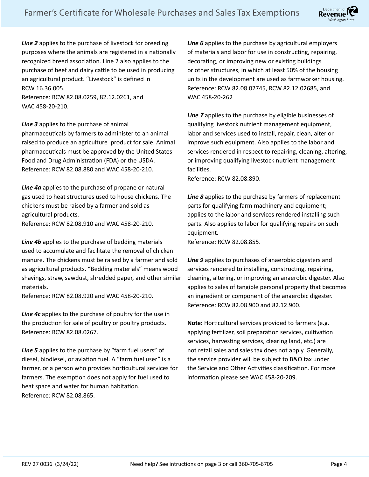

*Line 2* applies to the purchase of livestock for breeding purposes where the animals are registered in a nationally recognized breed association. Line 2 also applies to the purchase of beef and dairy cattle to be used in producing an agricultural product. "Livestock" is defined in RCW 16.36.005.

Reference: RCW 82.08.0259, 82.12.0261, and WAC 458-20-210.

*Line 3* applies to the purchase of animal pharmaceuticals by farmers to administer to an animal raised to produce an agriculture product for sale. Animal pharmaceuticals must be approved by the United States Food and Drug Administration (FDA) or the USDA. Reference: RCW 82.08.880 and WAC 458-20-210.

*Line 4a* applies to the purchase of propane or natural gas used to heat structures used to house chickens. The chickens must be raised by a farmer and sold as agricultural products. Reference: RCW 82.08.910 and WAC 458-20-210.

*Line 4b* applies to the purchase of bedding materials used to accumulate and facilitate the removal of chicken manure. The chickens must be raised by a farmer and sold as agricultural products. "Bedding materials" means wood shavings, straw, sawdust, shredded paper, and other similar materials.

Reference: RCW 82.08.920 and WAC 458-20-210.

*Line 4c* applies to the purchase of poultry for the use in the production for sale of poultry or poultry products. Reference: RCW 82.08.0267.

*Line 5* applies to the purchase by "farm fuel users" of diesel, biodiesel, or aviation fuel. A "farm fuel user" is a farmer, or a person who provides horticultural services for farmers. The exemption does not apply for fuel used to heat space and water for human habitation. Reference: RCW 82.08.865.

Line 6 applies to the purchase by agricultural employers of materials and labor for use in constructing, repairing, decorating, or improving new or existing buildings or other structures, in which at least 50% of the housing units in the development are used as farmworker housing. Reference: RCW 82.08.02745, RCW 82.12.02685, and WAC 458-20-262

*Line 7* applies to the purchase by eligible businesses of qualifying livestock nutrient management equipment, labor and services used to install, repair, clean, alter or improve such equipment. Also applies to the labor and services rendered in respect to repairing, cleaning, altering, or improving qualifying livestock nutrient management facilities.

Reference: RCW 82.08.890.

*Line 8* applies to the purchase by farmers of replacement parts for qualifying farm machinery and equipment; applies to the labor and services rendered installing such parts. Also applies to labor for qualifying repairs on such equipment.

Reference: RCW 82.08.855.

*Line 9* applies to purchases of anaerobic digesters and services rendered to installing, constructing, repairing, cleaning, altering, or improving an anaerobic digester. Also applies to sales of tangible personal property that becomes an ingredient or component of the anaerobic digester. Reference: RCW 82.08.900 and 82.12.900.

**Note:** Horticultural services provided to farmers (e.g. applying fertilizer, soil preparation services, cultivation services, harvesting services, clearing land, etc.) are not retail sales and sales tax does not apply. Generally, the service provider will be subject to B&O tax under the Service and Other Activities classification. For more information please see WAC 458-20-209.